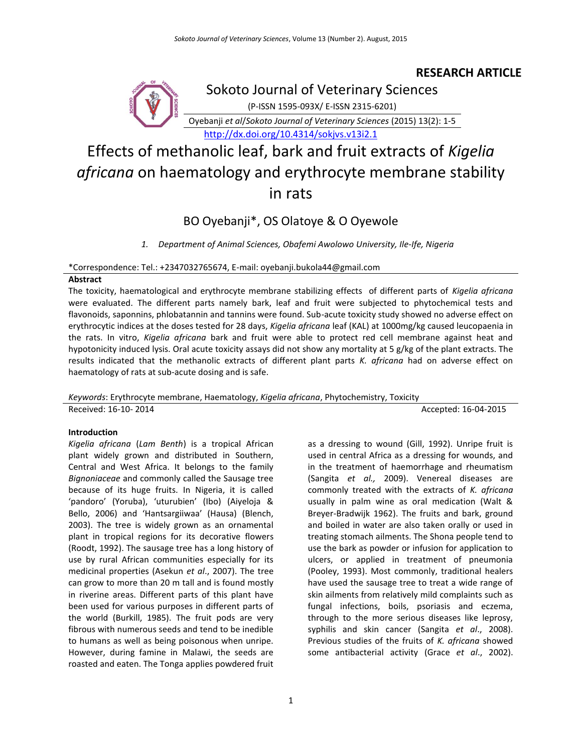# **RESEARCH ARTICLE**



Sokoto Journal of Veterinary Sciences

(P-ISSN 1595-093X/ E-ISSN 2315-6201)

Oyebanji *et al*/*Sokoto Journal of Veterinary Sciences* (2015) 13(2): 1-5

<http://dx.doi.org/10.4314/sokjvs.v13i2.1>

# Effects of methanolic leaf, bark and fruit extracts of *Kigelia africana* on haematology and erythrocyte membrane stability in rats

# BO Oyebanji\*, OS Olatoye & O Oyewole

*1. Department of Animal Sciences, Obafemi Awolowo University, Ile-Ife, Nigeria*

# \*Correspondence: Tel.: +2347032765674, E-mail: oyebanji.bukola44@gmail.com

# **Abstract**

The toxicity, haematological and erythrocyte membrane stabilizing effects of different parts of *Kigelia africana* were evaluated. The different parts namely bark, leaf and fruit were subjected to phytochemical tests and flavonoids, saponnins, phlobatannin and tannins were found. Sub-acute toxicity study showed no adverse effect on erythrocytic indices at the doses tested for 28 days, *Kigelia africana* leaf (KAL) at 1000mg/kg caused leucopaenia in the rats. In vitro, *Kigelia africana* bark and fruit were able to protect red cell membrane against heat and hypotonicity induced lysis. Oral acute toxicity assays did not show any mortality at 5 g/kg of the plant extracts. The results indicated that the methanolic extracts of different plant parts *K. africana* had on adverse effect on haematology of rats at sub-acute dosing and is safe.

*Keywords*: Erythrocyte membrane, Haematology, *Kigelia africana*, Phytochemistry, Toxicity Received: 16-10- 2014 **Accepted: 16-04-2015** 

# **Introduction**

*Kigelia africana* (*Lam Benth*) is a tropical African plant widely grown and distributed in Southern, Central and West Africa. It belongs to the family *Bignoniaceae* and commonly called the Sausage tree because of its huge fruits. In Nigeria, it is called 'pandoro' (Yoruba), 'uturubien' (Ibo) (Aiyeloja & Bello, 2006) and 'Hantsargiiwaa' (Hausa) (Blench, 2003). The tree is widely grown as an ornamental plant in tropical regions for its decorative flowers (Roodt, 1992). The sausage tree has a long history of use by rural African communities especially for its medicinal properties (Asekun *et al*., 2007). The tree can grow to more than 20 m tall and is found mostly in riverine areas. Different parts of this plant have been used for various purposes in different parts of the world (Burkill, 1985). The fruit pods are very fibrous with numerous seeds and tend to be inedible to humans as well as being poisonous when unripe. However, during famine in Malawi, the seeds are roasted and eaten. The Tonga applies powdered fruit as a dressing to wound (Gill, 1992). Unripe fruit is used in central Africa as a dressing for wounds, and in the treatment of haemorrhage and rheumatism (Sangita *et al.,* 2009). Venereal diseases are commonly treated with the extracts of *K. africana*  usually in palm wine as oral medication (Walt & Breyer-Bradwijk 1962). The fruits and bark, ground and boiled in water are also taken orally or used in treating stomach ailments. The Shona people tend to use the bark as powder or infusion for application to ulcers, or applied in treatment of pneumonia (Pooley, 1993). Most commonly, traditional healers have used the sausage tree to treat a wide range of skin ailments from relatively mild complaints such as fungal infections, boils, psoriasis and eczema, through to the more serious diseases like leprosy, syphilis and skin cancer (Sangita *et al*., 2008). Previous studies of the fruits of *K. africana* showed some antibacterial activity (Grace *et al*., 2002).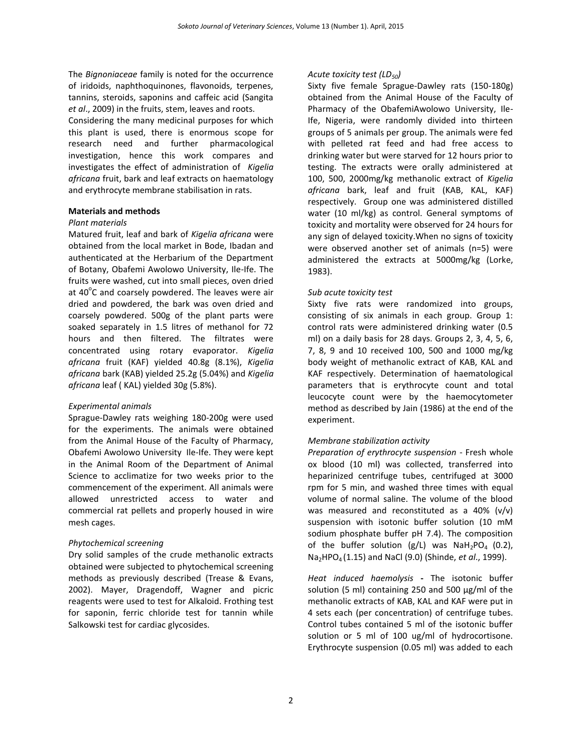The *Bignoniaceae* family is noted for the occurrence of iridoids, naphthoquinones, flavonoids, terpenes, tannins, steroids, saponins and caffeic acid (Sangita *et al*., 2009) in the fruits, stem, leaves and roots. Considering the many medicinal purposes for which this plant is used, there is enormous scope for research need and further pharmacological investigation, hence this work compares and investigates the effect of administration of *Kigelia africana* fruit, bark and leaf extracts on haematology and erythrocyte membrane stabilisation in rats.

#### **Materials and methods**

#### *Plant materials*

Matured fruit, leaf and bark of *Kigelia africana* were obtained from the local market in Bode, Ibadan and authenticated at the Herbarium of the Department of Botany, Obafemi Awolowo University, Ile-Ife. The fruits were washed, cut into small pieces, oven dried at  $40^{\circ}$ C and coarsely powdered. The leaves were air dried and powdered, the bark was oven dried and coarsely powdered. 500g of the plant parts were soaked separately in 1.5 litres of methanol for 72 hours and then filtered. The filtrates were concentrated using rotary evaporator. *Kigelia africana* fruit (KAF) yielded 40.8g (8.1%), *Kigelia africana* bark (KAB) yielded 25.2g (5.04%) and *Kigelia africana* leaf ( KAL) yielded 30g (5.8%).

#### *Experimental animals*

Sprague‐Dawley rats weighing 180‐200g were used for the experiments. The animals were obtained from the Animal House of the Faculty of Pharmacy, Obafemi Awolowo University Ile-Ife. They were kept in the Animal Room of the Department of Animal Science to acclimatize for two weeks prior to the commencement of the experiment. All animals were allowed unrestricted access to water and commercial rat pellets and properly housed in wire mesh cages.

#### *Phytochemical screening*

Dry solid samples of the crude methanolic extracts obtained were subjected to phytochemical screening methods as previously described (Trease & Evans, 2002). Mayer, Dragendoff, Wagner and picric reagents were used to test for Alkaloid. Frothing test for saponin, ferric chloride test for tannin while Salkowski test for cardiac glycosides.

#### *Acute toxicity test (LD50)*

Sixty five female Sprague‐Dawley rats (150-180g) obtained from the Animal House of the Faculty of Pharmacy of the ObafemiAwolowo University, Ile-Ife, Nigeria, were randomly divided into thirteen groups of 5 animals per group. The animals were fed with pelleted rat feed and had free access to drinking water but were starved for 12 hours prior to testing. The extracts were orally administered at 100, 500, 2000mg/kg methanolic extract of *Kigelia africana* bark, leaf and fruit (KAB, KAL, KAF) respectively. Group one was administered distilled water (10 ml/kg) as control. General symptoms of toxicity and mortality were observed for 24 hours for any sign of delayed toxicity.When no signs of toxicity were observed another set of animals (n=5) were administered the extracts at 5000mg/kg (Lorke, 1983).

#### *Sub acute toxicity test*

Sixty five rats were randomized into groups, consisting of six animals in each group. Group 1: control rats were administered drinking water (0.5 ml) on a daily basis for 28 days. Groups 2, 3, 4, 5, 6, 7, 8, 9 and 10 received 100, 500 and 1000 mg/kg body weight of methanolic extract of KAB, KAL and KAF respectively. Determination of haematological parameters that is erythrocyte count and total leucocyte count were by the haemocytometer method as described by Jain (1986) at the end of the experiment.

#### *Membrane stabilization activity*

*Preparation of erythrocyte suspension* - Fresh whole ox blood (10 ml) was collected, transferred into heparinized centrifuge tubes, centrifuged at 3000 rpm for 5 min, and washed three times with equal volume of normal saline. The volume of the blood was measured and reconstituted as a 40% (v/v) suspension with isotonic buffer solution (10 mM sodium phosphate buffer pH 7.4). The composition of the buffer solution (g/L) was  $N a H_2PO_4$  (0.2), Na2HPO4 (1.15) and NaCl (9.0) (Shinde, *et al*., 1999).

*Heat induced haemolysis* **-** The isotonic buffer solution (5 ml) containing 250 and 500 μg/ml of the methanolic extracts of KAB, KAL and KAF were put in 4 sets each (per concentration) of centrifuge tubes. Control tubes contained 5 ml of the isotonic buffer solution or 5 ml of 100 ug/ml of hydrocortisone. Erythrocyte suspension (0.05 ml) was added to each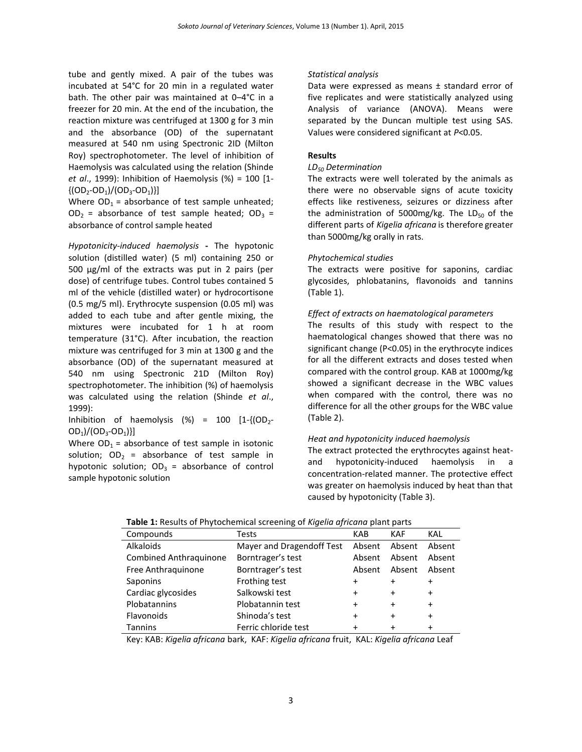tube and gently mixed. A pair of the tubes was incubated at 54°C for 20 min in a regulated water bath. The other pair was maintained at 0–4°C in a freezer for 20 min. At the end of the incubation, the reaction mixture was centrifuged at 1300 g for 3 min and the absorbance (OD) of the supernatant measured at 540 nm using Spectronic 2ID (Milton Roy) spectrophotometer. The level of inhibition of Haemolysis was calculated using the relation (Shinde *et al*., 1999): Inhibition of Haemolysis (%) = 100 [1-  $\{(OD_2-OD_1)/(OD_3-OD_1)\}\$ 

Where  $OD_1$  = absorbance of test sample unheated;  $OD<sub>2</sub>$  = absorbance of test sample heated;  $OD<sub>3</sub>$  = absorbance of control sample heated

*Hypotonicity-induced haemolysis* **-** The hypotonic solution (distilled water) (5 ml) containing 250 or 500 μg/ml of the extracts was put in 2 pairs (per dose) of centrifuge tubes. Control tubes contained 5 ml of the vehicle (distilled water) or hydrocortisone (0.5 mg/5 ml). Erythrocyte suspension (0.05 ml) was added to each tube and after gentle mixing, the mixtures were incubated for 1 h at room temperature (31°C). After incubation, the reaction mixture was centrifuged for 3 min at 1300 g and the absorbance (OD) of the supernatant measured at 540 nm using Spectronic 21D (Milton Roy) spectrophotometer. The inhibition (%) of haemolysis was calculated using the relation (Shinde *et al*., 1999):

Inhibition of haemolysis  $(\%)$  = 100 [1- $\{OD_{2}$ - $OD_1$  $/(OD_3$ - $OD_1)$ }]

Where  $OD_1$  = absorbance of test sample in isotonic solution;  $OD_2$  = absorbance of test sample in hypotonic solution;  $OD_3 =$  absorbance of control sample hypotonic solution

# *Statistical analysis*

Data were expressed as means ± standard error of five replicates and were statistically analyzed using Analysis of variance (ANOVA). Means were separated by the Duncan multiple test using SAS. Values were considered significant at *P*<0.05.

# **Results**

#### *LD<sup>50</sup> Determination*

The extracts were well tolerated by the animals as there were no observable signs of acute toxicity effects like restiveness, seizures or dizziness after the administration of 5000mg/kg. The  $LD_{50}$  of the different parts of *Kigelia africana* is therefore greater than 5000mg/kg orally in rats.

# *Phytochemical studies*

The extracts were positive for saponins, cardiac glycosides, phlobatanins, flavonoids and tannins (Table 1).

# *Effect of extracts on haematological parameters*

The results of this study with respect to the haematological changes showed that there was no significant change (P<0.05) in the erythrocyte indices for all the different extracts and doses tested when compared with the control group. KAB at 1000mg/kg showed a significant decrease in the WBC values when compared with the control, there was no difference for all the other groups for the WBC value (Table 2).

# *Heat and hypotonicity induced haemolysis*

The extract protected the erythrocytes against heatand hypotonicity-induced haemolysis in a concentration-related manner. The protective effect was greater on haemolysis induced by heat than that caused by hypotonicity (Table 3).

| Compounds                     | Tests                     | KAB       | KAF       | KAL       |  |
|-------------------------------|---------------------------|-----------|-----------|-----------|--|
| Alkaloids                     | Mayer and Dragendoff Test | Absent    | Absent    | Absent    |  |
| <b>Combined Anthraquinone</b> | Borntrager's test         | Absent    | Absent    | Absent    |  |
| Free Anthraquinone            | Borntrager's test         | Absent    | Absent    | Absent    |  |
| Saponins                      | Frothing test             | $\ddot{}$ |           | +         |  |
| Cardiac glycosides            | Salkowski test            | $\ddot{}$ | $\ddot{}$ | $\pmb{+}$ |  |
| Plobatannins                  | Plobatannin test          | +         | $\ddot{}$ | $\ddot{}$ |  |
| Flavonoids                    | Shinoda's test            | $\ddot{}$ | $\ddot{}$ | $\pmb{+}$ |  |
| <b>Tannins</b>                | Ferric chloride test      |           | +         | $\pmb{+}$ |  |

| Table 1: Results of Phytochemical screening of Kigelia africana plant parts |  |  |  |  |  |
|-----------------------------------------------------------------------------|--|--|--|--|--|
|-----------------------------------------------------------------------------|--|--|--|--|--|

Key: KAB: *Kigelia africana* bark, KAF: *Kigelia africana* fruit, KAL: *Kigelia africana* Leaf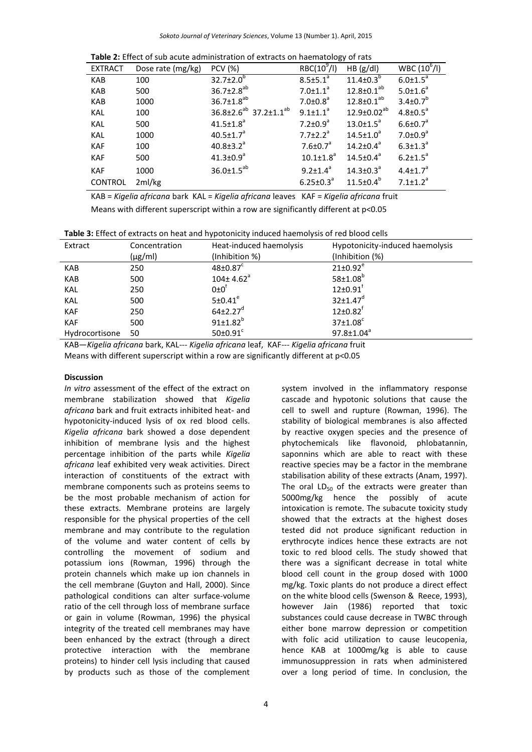| <b>Table 2:</b> Effect of sub acute administration of extracts on haematology of rats |                   |                                               |                             |                             |                            |
|---------------------------------------------------------------------------------------|-------------------|-----------------------------------------------|-----------------------------|-----------------------------|----------------------------|
| <b>EXTRACT</b>                                                                        | Dose rate (mg/kg) | <b>PCV (%)</b>                                | $RBC(10^9/l)$               | HB (g/dl)                   | $WBC (10^6/l)$             |
| KAB                                                                                   | 100               | $32.7 \pm 2.0^b$                              | $8.5 \pm 5.1^a$             | $11.4 \pm 0.3^{b}$          | $6.0 \pm 1.5^a$            |
| KAB                                                                                   | 500               | $36.7 \pm 2.8^{ab}$                           | $7.0 \pm 1.1$ <sup>a</sup>  | $12.8 \pm 0.1^{ab}$         | $5.0 \pm 1.6^a$            |
| KAB                                                                                   | 1000              | $36.7 \pm 1.8^{ab}$                           | $7.0{\pm}0.8^a$             | $12.8 \pm 0.1^{ab}$         | $3.4 \pm 0.7^{b}$          |
| KAL                                                                                   | 100               | 36.8±2.6 <sup>ab</sup> 37.2±1.1 <sup>ab</sup> | $9.1 \pm 1.1^a$             | $12.9 \pm 0.02^{ab}$        | $4.8 \pm 0.5^a$            |
| <b>KAL</b>                                                                            | 500               | $41.5 \pm 1.8$ <sup>a</sup>                   | $7.2 \pm 0.9$ <sup>a</sup>  | $13.0 \pm 1.5^a$            | $6.6 \pm 0.7$ <sup>a</sup> |
| <b>KAL</b>                                                                            | 1000              | $40.5 \pm 1.7$ <sup>a</sup>                   | $7.7 \pm 2.2^a$             | $14.5 \pm 1.0^a$            | $7.0 \pm 0.9$ <sup>a</sup> |
| <b>KAF</b>                                                                            | 100               | $40.8 \pm 3.2$ <sup>a</sup>                   | $7.6 \pm 0.7$ <sup>a</sup>  | $14.2 \pm 0.4^a$            | $6.3 \pm 1.3^{\circ}$      |
| KAF                                                                                   | 500               | $41.3 \pm 0.9$ <sup>a</sup>                   | $10.1 \pm 1.8$ <sup>a</sup> | $14.5 \pm 0.4^a$            | $6.2 \pm 1.5^a$            |
| <b>KAF</b>                                                                            | 1000              | $36.0 \pm 1.5^{ab}$                           | $9.2 \pm 1.4^a$             | $14.3 \pm 0.3$ <sup>a</sup> | $4.4 \pm 1.7$ <sup>a</sup> |
| <b>CONTROL</b>                                                                        | 2ml/kg            |                                               | $6.25 \pm 0.3^{\circ}$      | $11.5 \pm 0.4^b$            | $7.1 \pm 1.2$ <sup>a</sup> |

KAB = *Kigelia africana* bark KAL = *Kigelia africana* leaves KAF = *Kigelia africana* fruit Means with different superscript within a row are significantly different at p<0.05

| Extract        | Concentration<br>$(\mu g/ml)$ | Heat-induced haemolysis<br>(Inhibition %) | Hypotonicity-induced haemolysis<br>(Inhibition (%) |
|----------------|-------------------------------|-------------------------------------------|----------------------------------------------------|
| KAB            | 250                           | $48 \pm 0.87$ <sup>c</sup>                | $21 \pm 0.92^e$                                    |
| <b>KAB</b>     | 500                           | $104 \pm 4.62$ <sup>a</sup>               | $58 \pm 1.08$ <sup>b</sup>                         |
| <b>KAL</b>     | 250                           | $0\pm 0^{\dagger}$                        | $12 \pm 0.91$ <sup>f</sup>                         |
| <b>KAL</b>     | 500                           | 5±0.41 <sup>e</sup>                       | $32 \pm 1.47$ <sup>d</sup>                         |
| <b>KAF</b>     | 250                           | $64\pm2.27$ <sup>d</sup>                  | $12 \pm 0.82$ <sup>f</sup>                         |
| <b>KAF</b>     | 500                           | $91 \pm 1.82^b$                           | $37\pm1.08^\circ$                                  |
| Hydrocortisone | 50                            | $50\pm0.91$ <sup>c</sup>                  | $97.8 \pm 1.04^a$                                  |

KAB—*Kigelia africana* bark, KAL--- *Kigelia africana* leaf, KAF--- *Kigelia africana* fruit Means with different superscript within a row are significantly different at p<0.05

#### **Discussion**

*In vitro* assessment of the effect of the extract on membrane stabilization showed that *Kigelia africana* bark and fruit extracts inhibited heat- and hypotonicity-induced lysis of ox red blood cells. *Kigelia africana* bark showed a dose dependent inhibition of membrane lysis and the highest percentage inhibition of the parts while *Kigelia africana* leaf exhibited very weak activities. Direct interaction of constituents of the extract with membrane components such as proteins seems to be the most probable mechanism of action for these extracts. Membrane proteins are largely responsible for the physical properties of the cell membrane and may contribute to the regulation of the volume and water content of cells by controlling the movement of sodium and potassium ions (Rowman, 1996) through the protein channels which make up ion channels in the cell membrane (Guyton and Hall, 2000). Since pathological conditions can alter surface-volume ratio of the cell through loss of membrane surface or gain in volume (Rowman, 1996) the physical integrity of the treated cell membranes may have been enhanced by the extract (through a direct protective interaction with the membrane proteins) to hinder cell lysis including that caused by products such as those of the complement

system involved in the inflammatory response cascade and hypotonic solutions that cause the cell to swell and rupture (Rowman, 1996). The stability of biological membranes is also affected by reactive oxygen species and the presence of phytochemicals like flavonoid, phlobatannin, saponnins which are able to react with these reactive species may be a factor in the membrane stabilisation ability of these extracts (Anam, 1997). The oral  $LD_{50}$  of the extracts were greater than 5000mg/kg hence the possibly of acute intoxication is remote. The subacute toxicity study showed that the extracts at the highest doses tested did not produce significant reduction in erythrocyte indices hence these extracts are not toxic to red blood cells. The study showed that there was a significant decrease in total white blood cell count in the group dosed with 1000 mg/kg. Toxic plants do not produce a direct effect on the white blood cells (Swenson & Reece, 1993), however Jain (1986) reported that toxic substances could cause decrease in TWBC through either bone marrow depression or competition with folic acid utilization to cause leucopenia, hence KAB at 1000mg/kg is able to cause immunosuppression in rats when administered over a long period of time. In conclusion, the